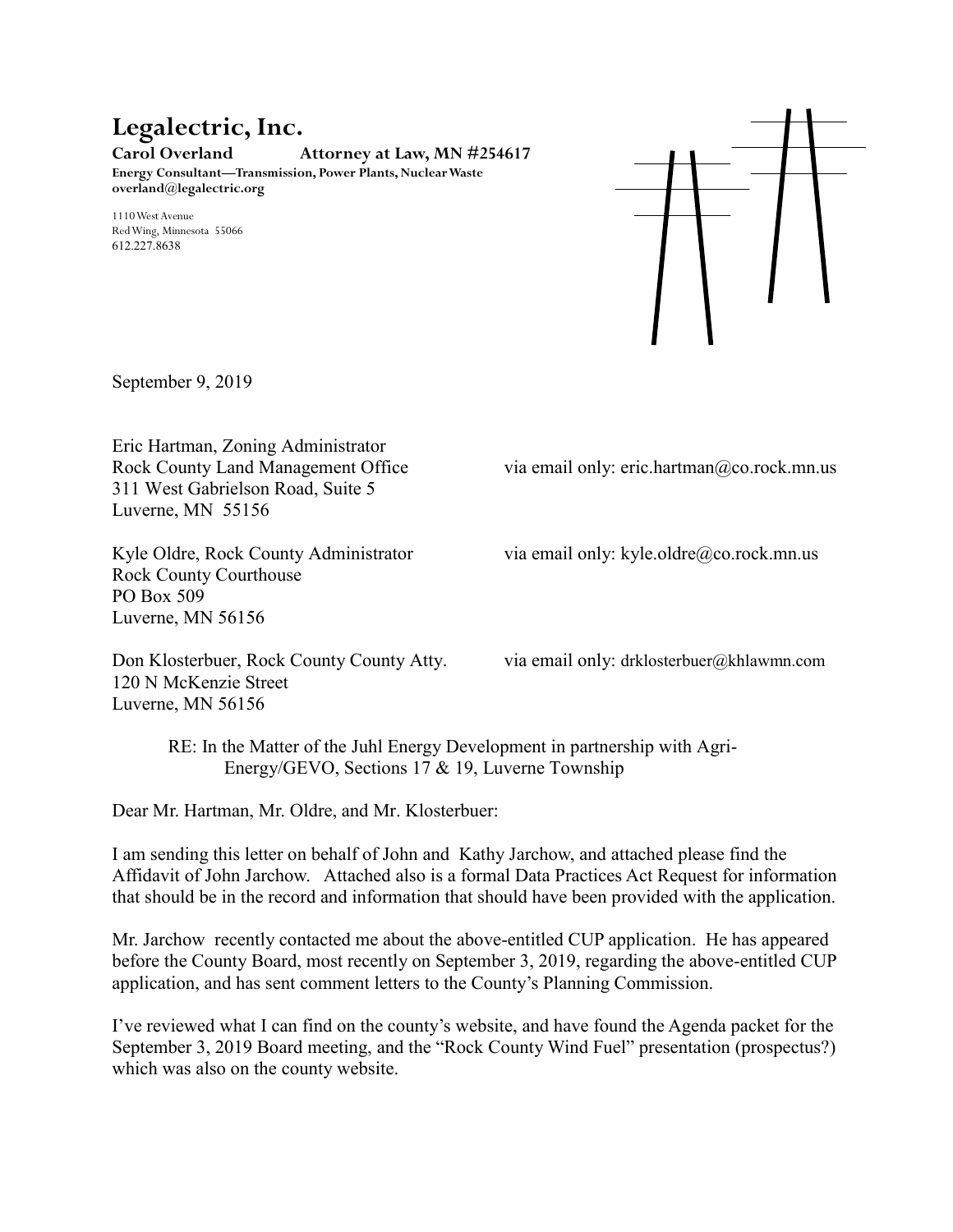# **Legalectric, Inc.**

**Carol Overland Attorney at Law, MN #254617 Energy Consultant—Transmission, Power Plants, Nuclear Waste**

1110 West Avenue Red Wing, Minnesota 55066 612.227.8638

**overland@legalectric.org**



September 9, 2019

Eric Hartman, Zoning Administrator 311 West Gabrielson Road, Suite 5 Luverne, MN 55156

Rock County Courthouse PO Box 509 Luverne, MN 56156

Don Klosterbuer, Rock County County Atty. via email only: drklosterbuer@khlawmn.com 120 N McKenzie Street Luverne, MN 56156

Rock County Land Management Office via email only: eric.hartman@co.rock.mn.us

Kyle Oldre, Rock County Administrator via email only: kyle.oldre@co.rock.mn.us

RE: In the Matter of the Juhl Energy Development in partnership with Agri-Energy/GEVO, Sections 17 & 19, Luverne Township

Dear Mr. Hartman, Mr. Oldre, and Mr. Klosterbuer:

I am sending this letter on behalf of John and Kathy Jarchow, and attached please find the Affidavit of John Jarchow. Attached also is a formal Data Practices Act Request for information that should be in the record and information that should have been provided with the application.

Mr. Jarchow recently contacted me about the above-entitled CUP application. He has appeared before the County Board, most recently on September 3, 2019, regarding the above-entitled CUP application, and has sent comment letters to the County's Planning Commission.

I've reviewed what I can find on the county's website, and have found the Agenda packet for the September 3, 2019 Board meeting, and the "Rock County Wind Fuel" presentation (prospectus?) which was also on the county website.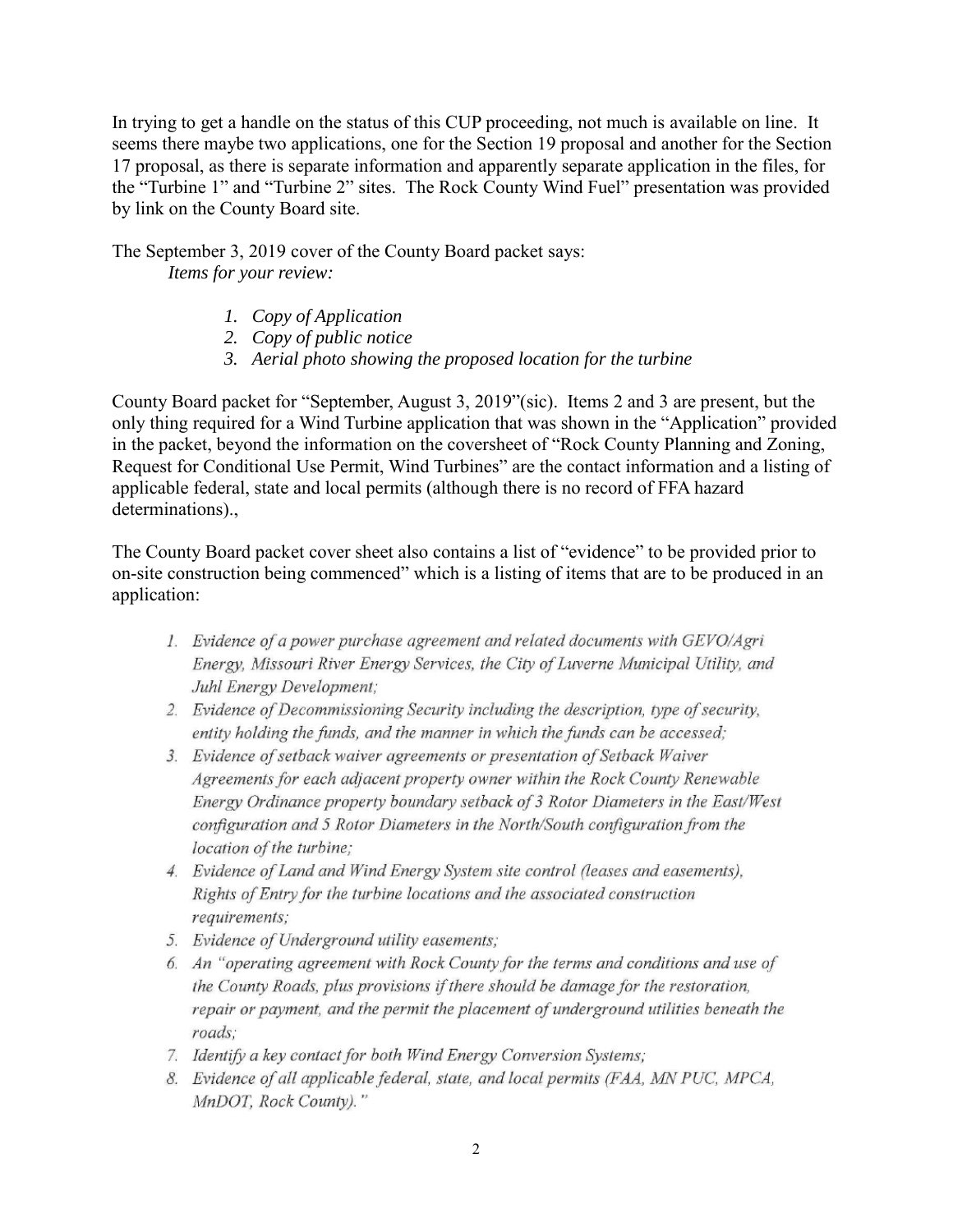In trying to get a handle on the status of this CUP proceeding, not much is available on line. It seems there maybe two applications, one for the Section 19 proposal and another for the Section 17 proposal, as there is separate information and apparently separate application in the files, for the "Turbine 1" and "Turbine 2" sites. The Rock County Wind Fuel" presentation was provided by link on the County Board site.

The September 3, 2019 cover of the County Board packet says: *Items for your review:*

- *1. Copy of Application*
- *2. Copy of public notice*
- *3. Aerial photo showing the proposed location for the turbine*

County Board packet for "September, August 3, 2019"(sic). Items 2 and 3 are present, but the only thing required for a Wind Turbine application that was shown in the "Application" provided in the packet, beyond the information on the coversheet of "Rock County Planning and Zoning, Request for Conditional Use Permit, Wind Turbines" are the contact information and a listing of applicable federal, state and local permits (although there is no record of FFA hazard determinations).,

The County Board packet cover sheet also contains a list of "evidence" to be provided prior to on-site construction being commenced" which is a listing of items that are to be produced in an application:

- 1. Evidence of a power purchase agreement and related documents with GEVO/Agri Energy, Missouri River Energy Services, the City of Luverne Municipal Utility, and Juhl Energy Development:
- 2. Evidence of Decommissioning Security including the description, type of security, entity holding the funds, and the manner in which the funds can be accessed;
- 3. Evidence of setback waiver agreements or presentation of Setback Waiver Agreements for each adjacent property owner within the Rock County Renewable Energy Ordinance property boundary setback of 3 Rotor Diameters in the East/West configuration and 5 Rotor Diameters in the North/South configuration from the location of the turbine;
- 4. Evidence of Land and Wind Energy System site control (leases and easements), Rights of Entry for the turbine locations and the associated construction requirements;
- 5. Evidence of Underground utility easements;
- 6. An "operating agreement with Rock County for the terms and conditions and use of the County Roads, plus provisions if there should be damage for the restoration, repair or payment, and the permit the placement of underground utilities beneath the roads:
- 7. Identify a key contact for both Wind Energy Conversion Systems;
- 8. Evidence of all applicable federal, state, and local permits (FAA, MN PUC, MPCA, MnDOT, Rock County)."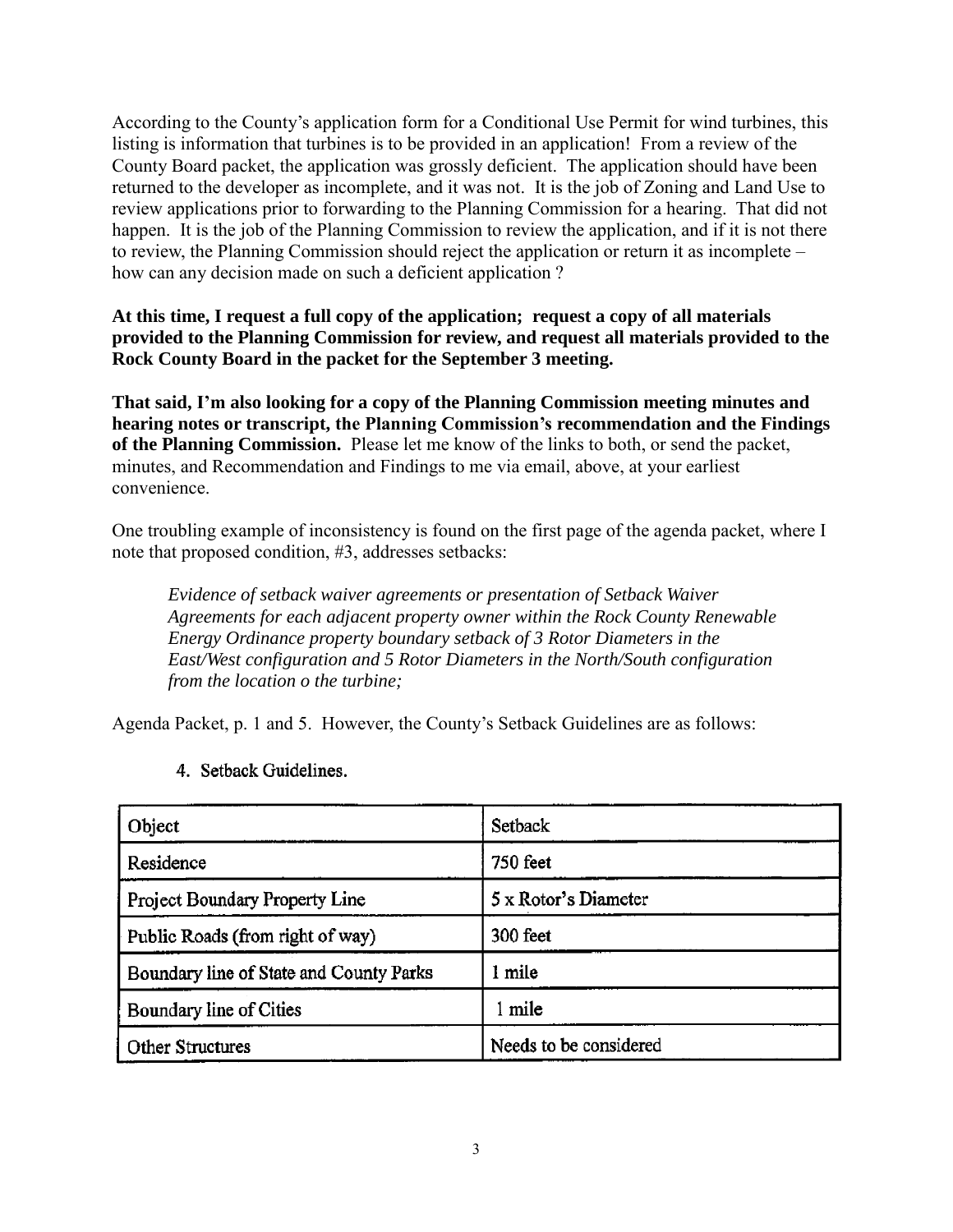According to the County's application form for a Conditional Use Permit for wind turbines, this listing is information that turbines is to be provided in an application! From a review of the County Board packet, the application was grossly deficient. The application should have been returned to the developer as incomplete, and it was not. It is the job of Zoning and Land Use to review applications prior to forwarding to the Planning Commission for a hearing. That did not happen. It is the job of the Planning Commission to review the application, and if it is not there to review, the Planning Commission should reject the application or return it as incomplete – how can any decision made on such a deficient application ?

## **At this time, I request a full copy of the application; request a copy of all materials provided to the Planning Commission for review, and request all materials provided to the Rock County Board in the packet for the September 3 meeting.**

**That said, I'm also looking for a copy of the Planning Commission meeting minutes and hearing notes or transcript, the Planning Commission's recommendation and the Findings of the Planning Commission.** Please let me know of the links to both, or send the packet, minutes, and Recommendation and Findings to me via email, above, at your earliest convenience.

One troubling example of inconsistency is found on the first page of the agenda packet, where I note that proposed condition, #3, addresses setbacks:

*Evidence of setback waiver agreements or presentation of Setback Waiver Agreements for each adjacent property owner within the Rock County Renewable Energy Ordinance property boundary setback of 3 Rotor Diameters in the East/West configuration and 5 Rotor Diameters in the North/South configuration from the location o the turbine;*

Agenda Packet, p. 1 and 5. However, the County's Setback Guidelines are as follows:

| Object                                  | Setback                |
|-----------------------------------------|------------------------|
| Residence                               | <b>750 feet</b>        |
| Project Boundary Property Line          | 5 x Rotor's Diameter   |
| Public Roads (from right of way)        | 300 feet               |
| Boundary line of State and County Parks | 1 mile                 |
| Boundary line of Cities                 | mile                   |
| Other Structures                        | Needs to be considered |

## 4. Setback Guidelines.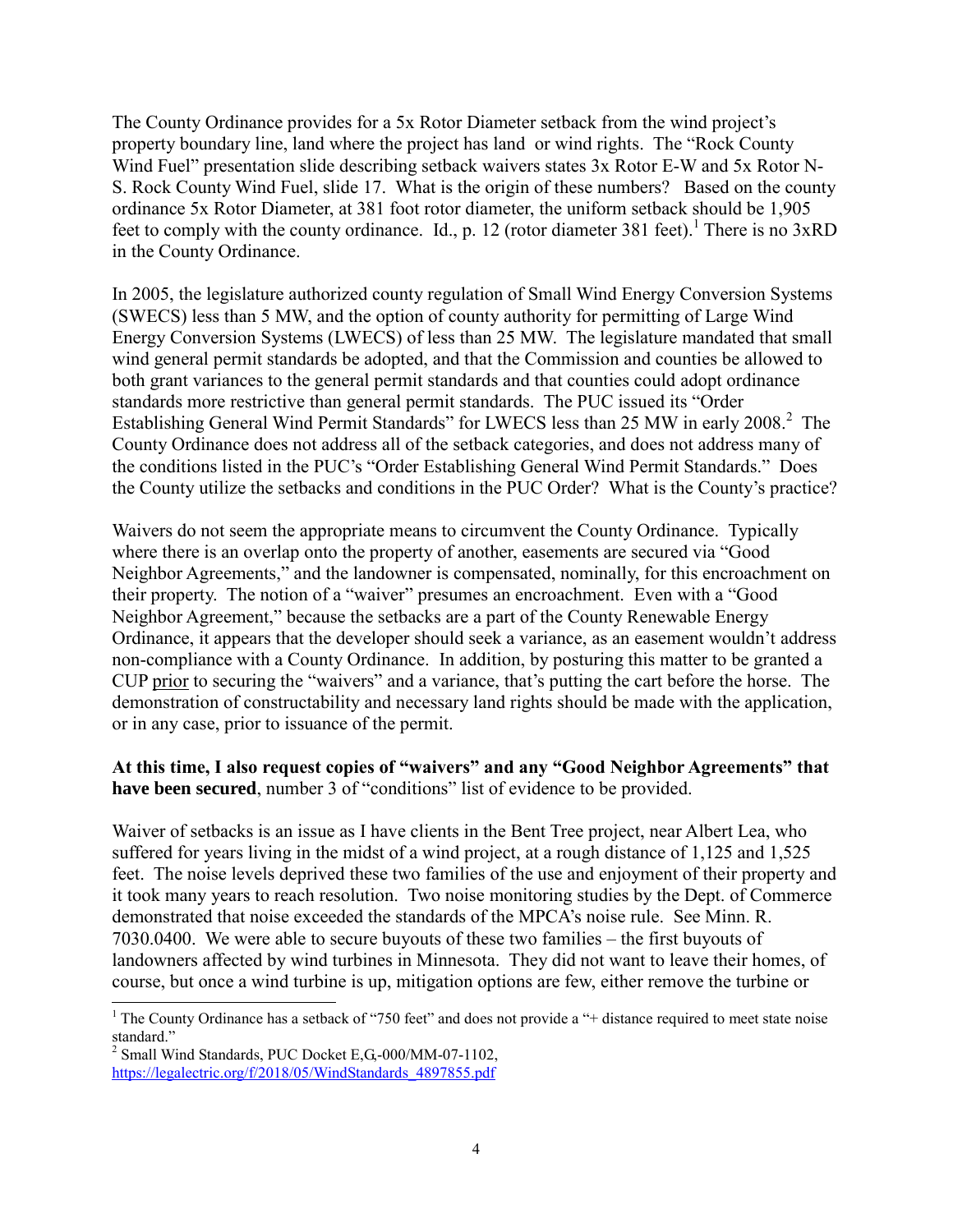The County Ordinance provides for a 5x Rotor Diameter setback from the wind project's property boundary line, land where the project has land or wind rights. The "Rock County Wind Fuel" presentation slide describing setback waivers states 3x Rotor E-W and 5x Rotor N-S. Rock County Wind Fuel, slide 17. What is the origin of these numbers? Based on the county ordinance 5x Rotor Diameter, at 381 foot rotor diameter, the uniform setback should be 1,905 feet to comply with the county ordinance. Id., p. 12 (rotor diameter 381 feet).<sup>1</sup> There is no  $3xRD$ in the County Ordinance.

In 2005, the legislature authorized county regulation of Small Wind Energy Conversion Systems (SWECS) less than 5 MW, and the option of county authority for permitting of Large Wind Energy Conversion Systems (LWECS) of less than 25 MW. The legislature mandated that small wind general permit standards be adopted, and that the Commission and counties be allowed to both grant variances to the general permit standards and that counties could adopt ordinance standards more restrictive than general permit standards. The PUC issued its "Order Establishing General Wind Permit Standards" for LWECS less than 25 MW in early 2008.<sup>2</sup> The County Ordinance does not address all of the setback categories, and does not address many of the conditions listed in the PUC's "Order Establishing General Wind Permit Standards." Does the County utilize the setbacks and conditions in the PUC Order? What is the County's practice?

Waivers do not seem the appropriate means to circumvent the County Ordinance. Typically where there is an overlap onto the property of another, easements are secured via "Good Neighbor Agreements," and the landowner is compensated, nominally, for this encroachment on their property. The notion of a "waiver" presumes an encroachment. Even with a "Good Neighbor Agreement," because the setbacks are a part of the County Renewable Energy Ordinance, it appears that the developer should seek a variance, as an easement wouldn't address non-compliance with a County Ordinance. In addition, by posturing this matter to be granted a CUP prior to securing the "waivers" and a variance, that's putting the cart before the horse. The demonstration of constructability and necessary land rights should be made with the application, or in any case, prior to issuance of the permit.

## **At this time, I also request copies of "waivers" and any "Good Neighbor Agreements" that have been secured**, number 3 of "conditions" list of evidence to be provided.

Waiver of setbacks is an issue as I have clients in the Bent Tree project, near Albert Lea, who suffered for years living in the midst of a wind project, at a rough distance of 1,125 and 1,525 feet. The noise levels deprived these two families of the use and enjoyment of their property and it took many years to reach resolution. Two noise monitoring studies by the Dept. of Commerce demonstrated that noise exceeded the standards of the MPCA's noise rule. See Minn. R. 7030.0400. We were able to secure buyouts of these two families – the first buyouts of landowners affected by wind turbines in Minnesota. They did not want to leave their homes, of course, but once a wind turbine is up, mitigation options are few, either remove the turbine or

 $\overline{a}$ 

<sup>&</sup>lt;sup>1</sup> The County Ordinance has a setback of "750 feet" and does not provide a "+ distance required to meet state noise standard."

<sup>&</sup>lt;sup>2</sup> Small Wind Standards, PUC Docket E,G,-000/MM-07-1102, [https://legalectric.org/f/2018/05/WindStandards\\_4897855.pdf](https://legalectric.org/f/2018/05/WindStandards_4897855.pdf)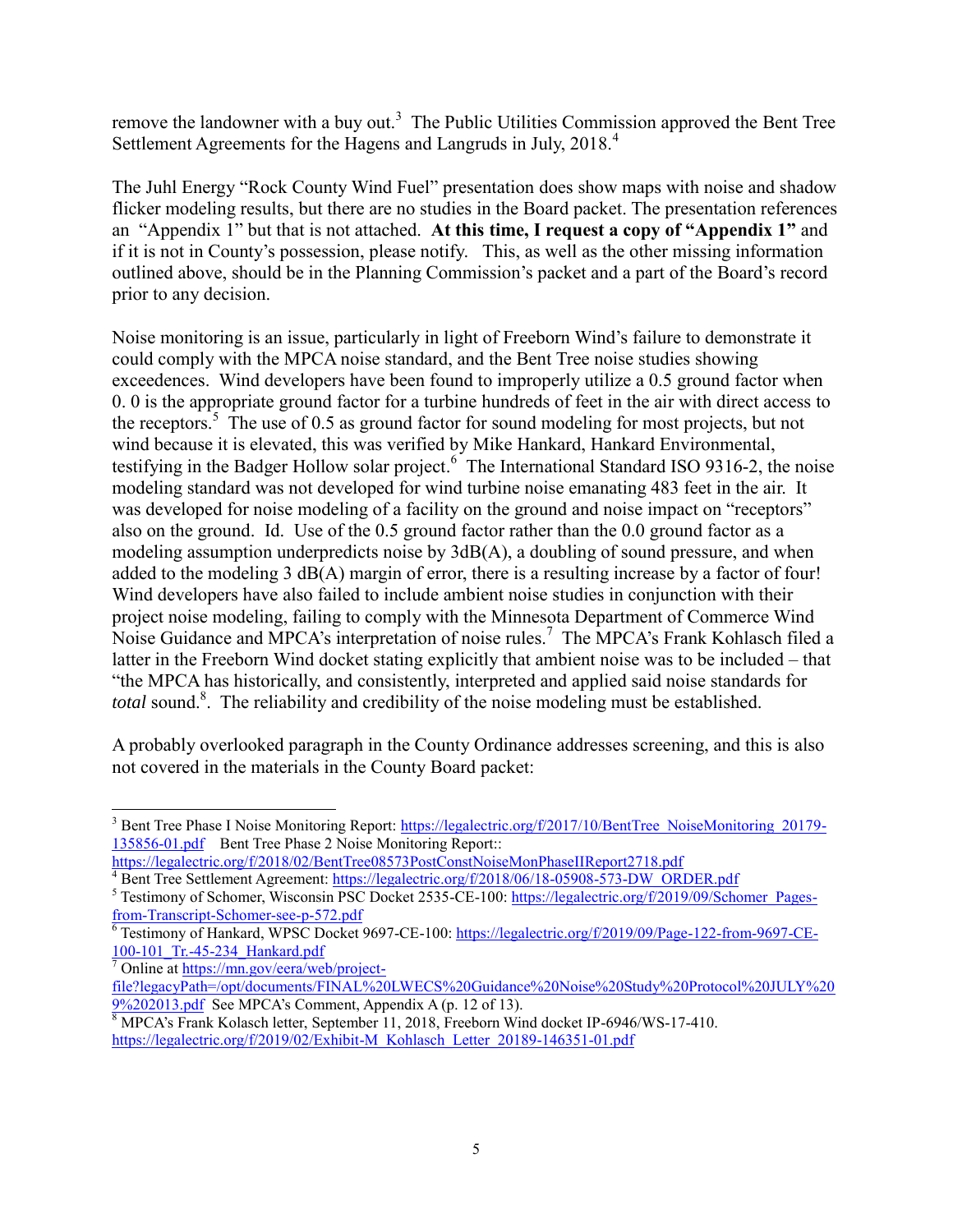remove the landowner with a buy out.<sup>3</sup> The Public Utilities Commission approved the Bent Tree Settlement Agreements for the Hagens and Langruds in July, 2018.<sup>4</sup>

The Juhl Energy "Rock County Wind Fuel" presentation does show maps with noise and shadow flicker modeling results, but there are no studies in the Board packet. The presentation references an "Appendix 1" but that is not attached. **At this time, I request a copy of "Appendix 1"** and if it is not in County's possession, please notify. This, as well as the other missing information outlined above, should be in the Planning Commission's packet and a part of the Board's record prior to any decision.

Noise monitoring is an issue, particularly in light of Freeborn Wind's failure to demonstrate it could comply with the MPCA noise standard, and the Bent Tree noise studies showing exceedences. Wind developers have been found to improperly utilize a 0.5 ground factor when 0. 0 is the appropriate ground factor for a turbine hundreds of feet in the air with direct access to the receptors.<sup>5</sup> The use of 0.5 as ground factor for sound modeling for most projects, but not wind because it is elevated, this was verified by Mike Hankard, Hankard Environmental, testifying in the Badger Hollow solar project.<sup>6</sup> The International Standard ISO 9316-2, the noise modeling standard was not developed for wind turbine noise emanating 483 feet in the air. It was developed for noise modeling of a facility on the ground and noise impact on "receptors" also on the ground. Id. Use of the 0.5 ground factor rather than the 0.0 ground factor as a modeling assumption underpredicts noise by 3dB(A), a doubling of sound pressure, and when added to the modeling 3 dB(A) margin of error, there is a resulting increase by a factor of four! Wind developers have also failed to include ambient noise studies in conjunction with their project noise modeling, failing to comply with the Minnesota Department of Commerce Wind Noise Guidance and MPCA's interpretation of noise rules.<sup>7</sup> The MPCA's Frank Kohlasch filed a latter in the Freeborn Wind docket stating explicitly that ambient noise was to be included – that "the MPCA has historically, and consistently, interpreted and applied said noise standards for total sound.<sup>8</sup>. The reliability and credibility of the noise modeling must be established.

A probably overlooked paragraph in the County Ordinance addresses screening, and this is also not covered in the materials in the County Board packet:

 $\overline{a}$ <sup>3</sup> Bent Tree Phase I Noise Monitoring Report: [https://legalectric.org/f/2017/10/BentTree\\_NoiseMonitoring\\_20179-](https://legalectric.org/f/2017/10/BentTree_NoiseMonitoring_20179-135856-01.pdf) [135856-01.pdf](https://legalectric.org/f/2017/10/BentTree_NoiseMonitoring_20179-135856-01.pdf) Bent Tree Phase 2 Noise Monitoring Report::

<https://legalectric.org/f/2018/02/BentTree08573PostConstNoiseMonPhaseIIReport2718.pdf>

<sup>&</sup>lt;sup>4</sup> Bent Tree Settlement Agreement: [https://legalectric.org/f/2018/06/18-05908-573-DW\\_ORDER.pdf](https://legalectric.org/f/2018/06/18-05908-573-DW_ORDER.pdf)

<sup>&</sup>lt;sup>5</sup> Testimony of Schomer, Wisconsin PSC Docket 2535-CE-100[: https://legalectric.org/f/2019/09/Schomer\\_Pages](https://legalectric.org/f/2019/09/Schomer_Pages-from-Transcript-Schomer-see-p-572.pdf)[from-Transcript-Schomer-see-p-572.pdf](https://legalectric.org/f/2019/09/Schomer_Pages-from-Transcript-Schomer-see-p-572.pdf)

<sup>&</sup>lt;sup>6</sup> Testimony of Hankard, WPSC Docket 9697-CE-100: [https://legalectric.org/f/2019/09/Page-122-from-9697-CE-](https://legalectric.org/f/2019/09/Page-122-from-9697-CE-100-101_Tr.-45-234_Hankard.pdf)[100-101\\_Tr.-45-234\\_Hankard.pdf](https://legalectric.org/f/2019/09/Page-122-from-9697-CE-100-101_Tr.-45-234_Hankard.pdf)

<sup>7</sup> Online at [https://mn.gov/eera/web/project-](https://mn.gov/eera/web/project-file?legacyPath=/opt/documents/FINAL%20LWECS%20Guidance%20Noise%20Study%20Protocol%20JULY%209%202013.pdf)

[file?legacyPath=/opt/documents/FINAL%20LWECS%20Guidance%20Noise%20Study%20Protocol%20JULY%20](https://mn.gov/eera/web/project-file?legacyPath=/opt/documents/FINAL%20LWECS%20Guidance%20Noise%20Study%20Protocol%20JULY%209%202013.pdf) [9%202013.pdf](https://mn.gov/eera/web/project-file?legacyPath=/opt/documents/FINAL%20LWECS%20Guidance%20Noise%20Study%20Protocol%20JULY%209%202013.pdf) See MPCA's Comment, Appendix A (p. 12 of 13).

<sup>&</sup>lt;sup>8</sup> MPCA's Frank Kolasch letter, September 11, 2018, Freeborn Wind docket IP-6946/WS-17-410. [https://legalectric.org/f/2019/02/Exhibit-M\\_Kohlasch\\_Letter\\_20189-146351-01.pdf](https://legalectric.org/f/2019/02/Exhibit-M_Kohlasch_Letter_20189-146351-01.pdf)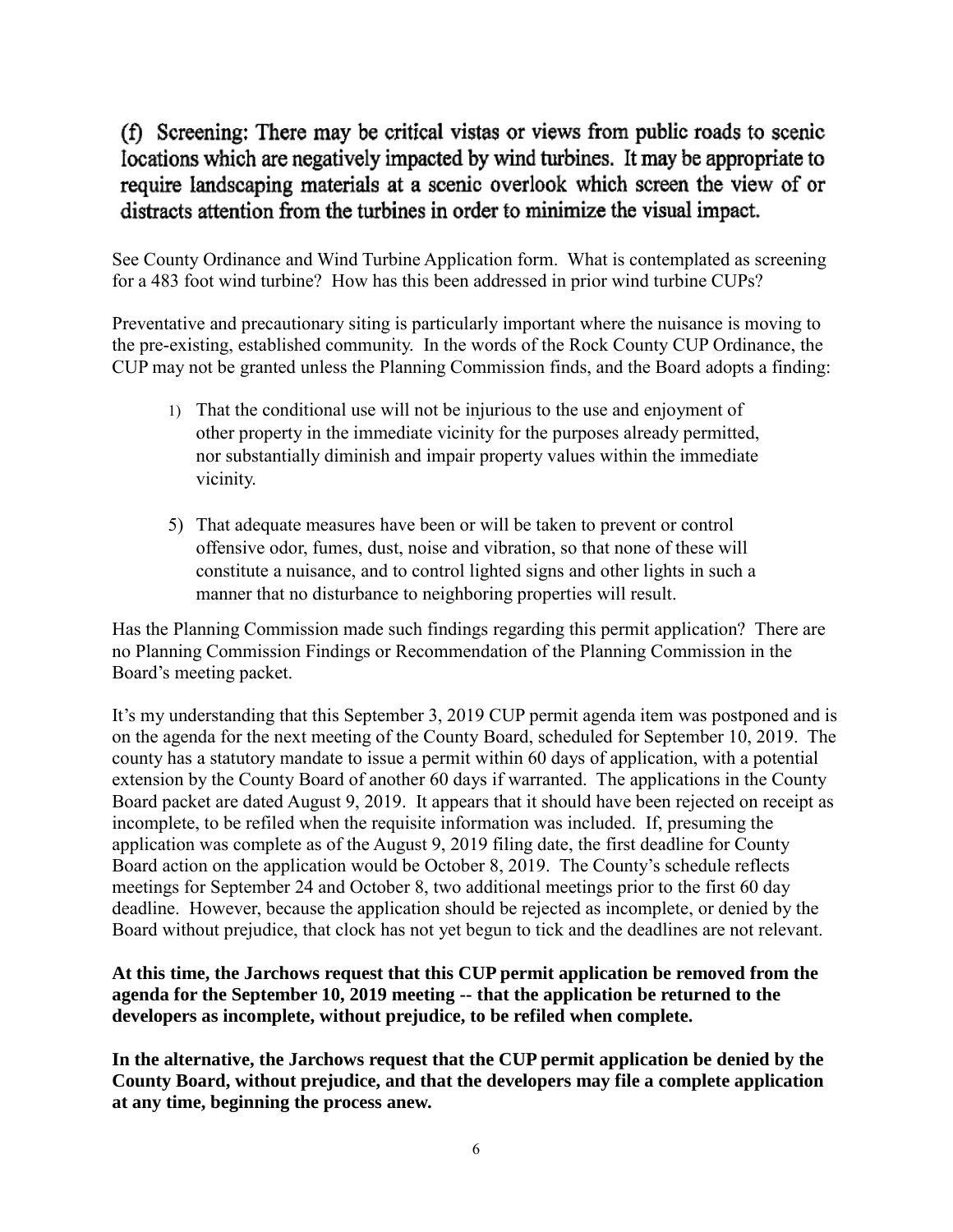## (f) Screening: There may be critical vistas or views from public roads to scenic locations which are negatively impacted by wind turbines. It may be appropriate to require landscaping materials at a scenic overlook which screen the view of or distracts attention from the turbines in order to minimize the visual impact.

See County Ordinance and Wind Turbine Application form. What is contemplated as screening for a 483 foot wind turbine? How has this been addressed in prior wind turbine CUPs?

Preventative and precautionary siting is particularly important where the nuisance is moving to the pre-existing, established community. In the words of the Rock County CUP Ordinance, the CUP may not be granted unless the Planning Commission finds, and the Board adopts a finding:

- 1) That the conditional use will not be injurious to the use and enjoyment of other property in the immediate vicinity for the purposes already permitted, nor substantially diminish and impair property values within the immediate vicinity.
- 5) That adequate measures have been or will be taken to prevent or control offensive odor, fumes, dust, noise and vibration, so that none of these will constitute a nuisance, and to control lighted signs and other lights in such a manner that no disturbance to neighboring properties will result.

Has the Planning Commission made such findings regarding this permit application? There are no Planning Commission Findings or Recommendation of the Planning Commission in the Board's meeting packet.

It's my understanding that this September 3, 2019 CUP permit agenda item was postponed and is on the agenda for the next meeting of the County Board, scheduled for September 10, 2019. The county has a statutory mandate to issue a permit within 60 days of application, with a potential extension by the County Board of another 60 days if warranted. The applications in the County Board packet are dated August 9, 2019. It appears that it should have been rejected on receipt as incomplete, to be refiled when the requisite information was included. If, presuming the application was complete as of the August 9, 2019 filing date, the first deadline for County Board action on the application would be October 8, 2019. The County's schedule reflects meetings for September 24 and October 8, two additional meetings prior to the first 60 day deadline. However, because the application should be rejected as incomplete, or denied by the Board without prejudice, that clock has not yet begun to tick and the deadlines are not relevant.

## **At this time, the Jarchows request that this CUP permit application be removed from the agenda for the September 10, 2019 meeting -- that the application be returned to the developers as incomplete, without prejudice, to be refiled when complete.**

**In the alternative, the Jarchows request that the CUP permit application be denied by the County Board, without prejudice, and that the developers may file a complete application at any time, beginning the process anew.**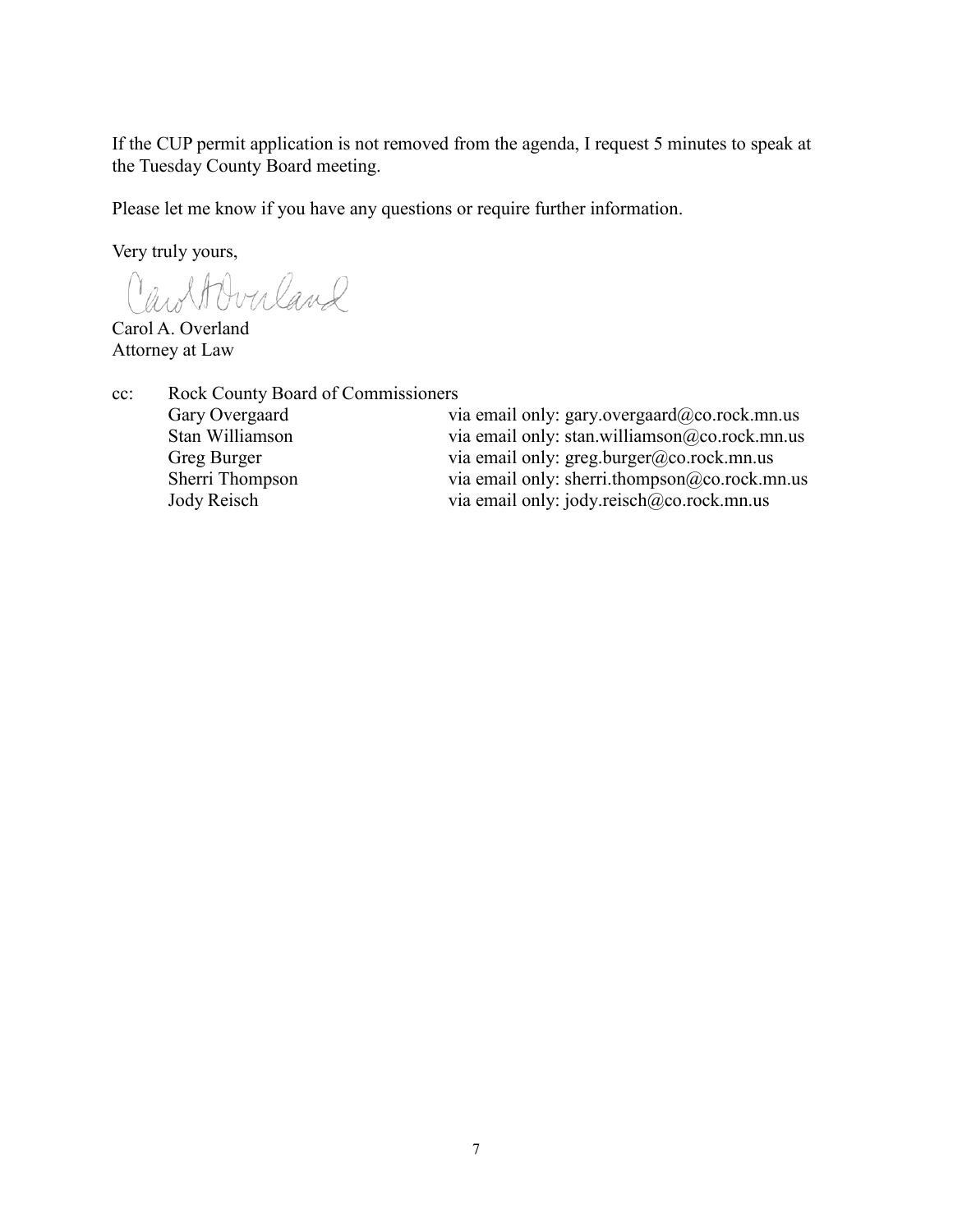If the CUP permit application is not removed from the agenda, I request 5 minutes to speak at the Tuesday County Board meeting.

Please let me know if you have any questions or require further information.

Very truly yours,

CaroltOverland

Carol A. Overland Attorney at Law

| Rock County Board of Commissioners |                                               |
|------------------------------------|-----------------------------------------------|
| Gary Overgaard                     | via email only: gary.overgaard@co.rock.mn.us  |
| Stan Williamson                    | via email only: stan.williamson@co.rock.mn.us |
| Greg Burger                        | via email only: $greg.burger@co. rock.mn.us$  |
| Sherri Thompson                    | via email only: sherri.thompson@co.rock.mn.us |
| Jody Reisch                        | via email only: jody.reisch@co.rock.mn.us     |
|                                    |                                               |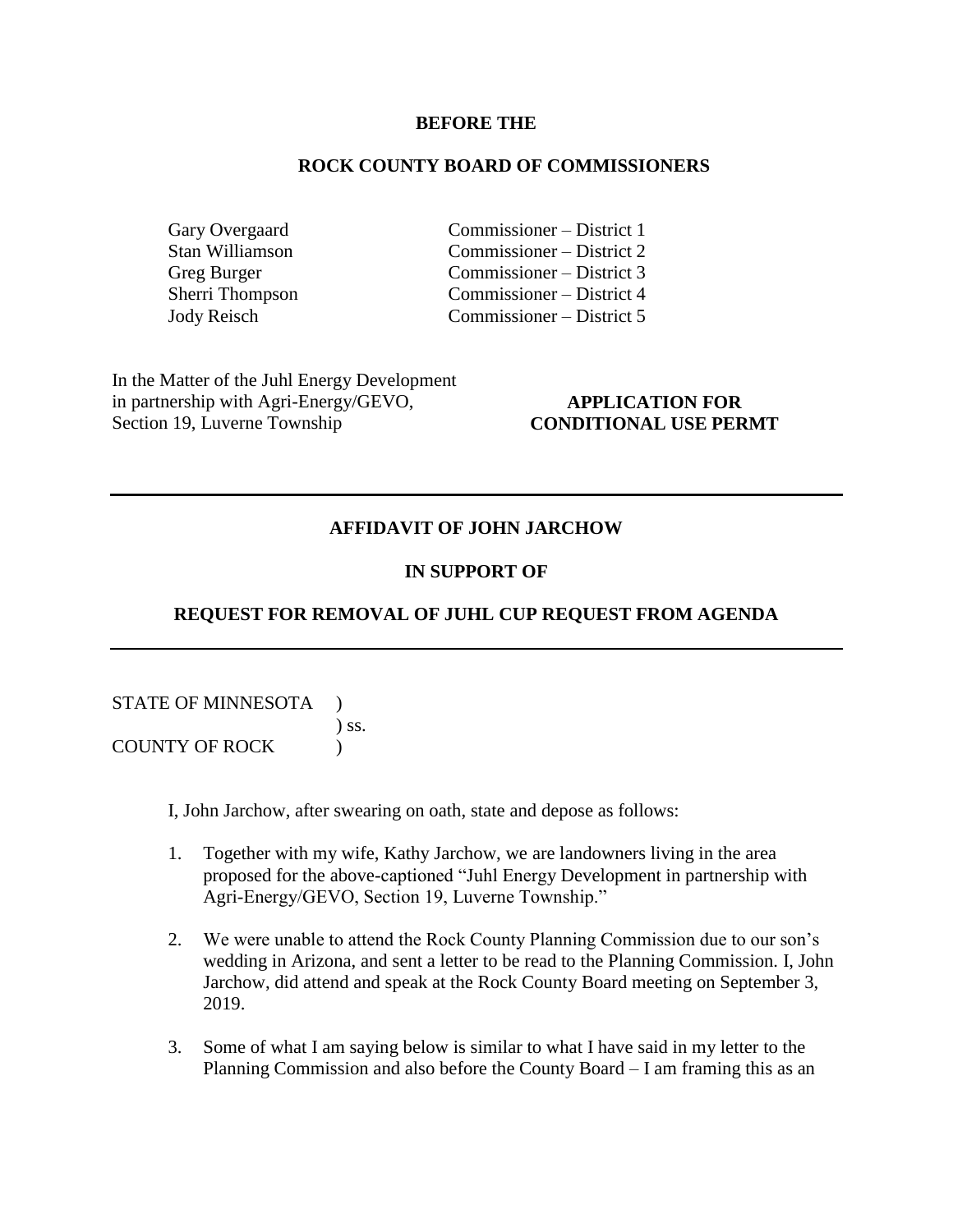#### **BEFORE THE**

#### **ROCK COUNTY BOARD OF COMMISSIONERS**

Gary Overgaard Commissioner – District 1<br>Stan Williamson Commissioner – District 2 Commissioner – District 2 Greg Burger Commissioner – District 3 Sherri Thompson Commissioner – District 4 Jody Reisch Commissioner – District 5

In the Matter of the Juhl Energy Development in partnership with Agri-Energy/GEVO, Section 19, Luverne Township

## **APPLICATION FOR CONDITIONAL USE PERMT**

#### **AFFIDAVIT OF JOHN JARCHOW**

## **IN SUPPORT OF**

## **REQUEST FOR REMOVAL OF JUHL CUP REQUEST FROM AGENDA**

STATE OF MINNESOTA ) ) ss. COUNTY OF ROCK )

I, John Jarchow, after swearing on oath, state and depose as follows:

- 1. Together with my wife, Kathy Jarchow, we are landowners living in the area proposed for the above-captioned "Juhl Energy Development in partnership with Agri-Energy/GEVO, Section 19, Luverne Township."
- 2. We were unable to attend the Rock County Planning Commission due to our son's wedding in Arizona, and sent a letter to be read to the Planning Commission. I, John Jarchow, did attend and speak at the Rock County Board meeting on September 3, 2019.
- 3. Some of what I am saying below is similar to what I have said in my letter to the Planning Commission and also before the County Board – I am framing this as an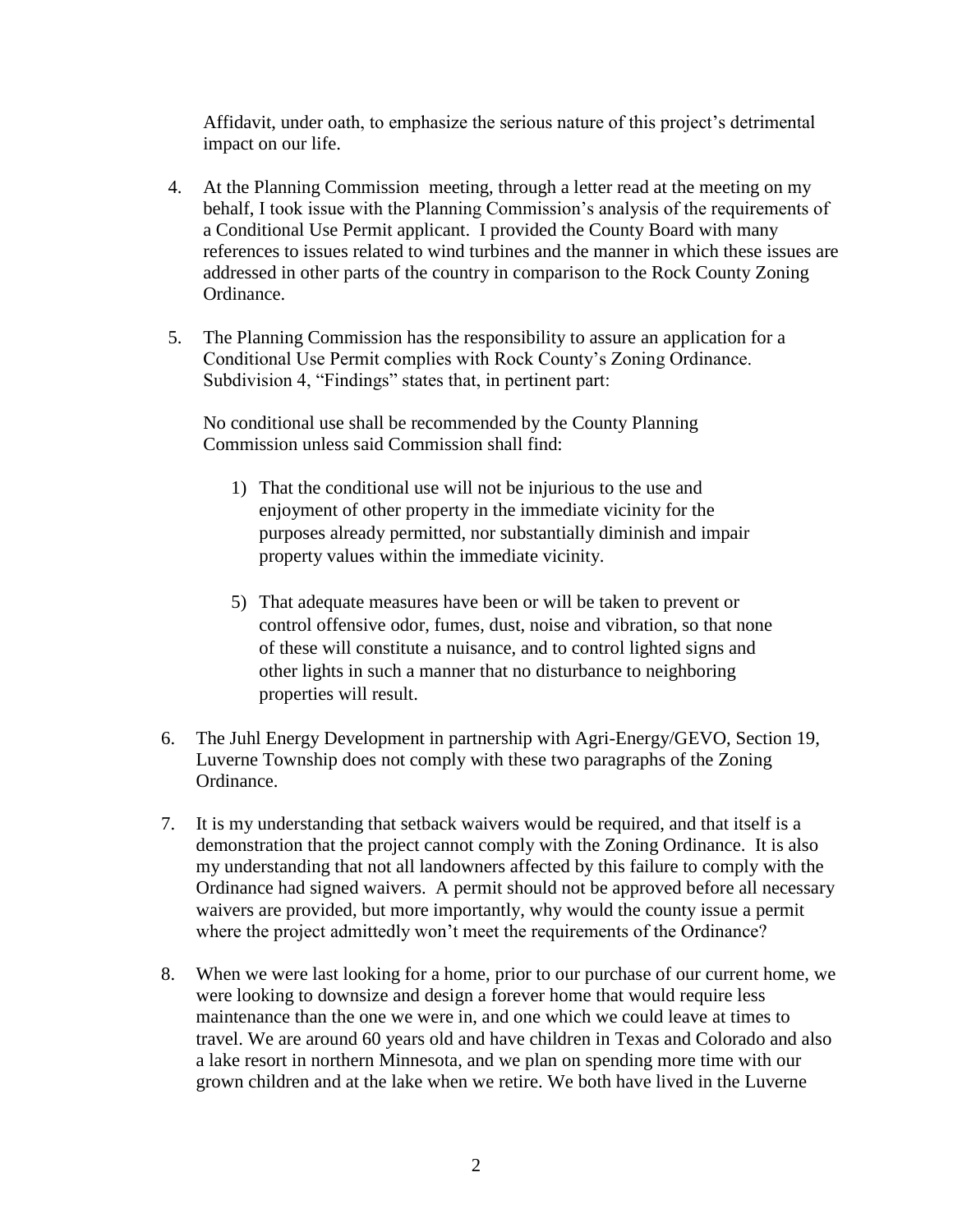Affidavit, under oath, to emphasize the serious nature of this project's detrimental impact on our life.

- 4. At the Planning Commission meeting, through a letter read at the meeting on my behalf, I took issue with the Planning Commission's analysis of the requirements of a Conditional Use Permit applicant. I provided the County Board with many references to issues related to wind turbines and the manner in which these issues are addressed in other parts of the country in comparison to the Rock County Zoning Ordinance.
- 5. The Planning Commission has the responsibility to assure an application for a Conditional Use Permit complies with Rock County's Zoning Ordinance. Subdivision 4, "Findings" states that, in pertinent part:

No conditional use shall be recommended by the County Planning Commission unless said Commission shall find:

- 1) That the conditional use will not be injurious to the use and enjoyment of other property in the immediate vicinity for the purposes already permitted, nor substantially diminish and impair property values within the immediate vicinity.
- 5) That adequate measures have been or will be taken to prevent or control offensive odor, fumes, dust, noise and vibration, so that none of these will constitute a nuisance, and to control lighted signs and other lights in such a manner that no disturbance to neighboring properties will result.
- 6. The Juhl Energy Development in partnership with Agri-Energy/GEVO, Section 19, Luverne Township does not comply with these two paragraphs of the Zoning Ordinance.
- 7. It is my understanding that setback waivers would be required, and that itself is a demonstration that the project cannot comply with the Zoning Ordinance. It is also my understanding that not all landowners affected by this failure to comply with the Ordinance had signed waivers. A permit should not be approved before all necessary waivers are provided, but more importantly, why would the county issue a permit where the project admittedly won't meet the requirements of the Ordinance?
- 8. When we were last looking for a home, prior to our purchase of our current home, we were looking to downsize and design a forever home that would require less maintenance than the one we were in, and one which we could leave at times to travel. We are around 60 years old and have children in Texas and Colorado and also a lake resort in northern Minnesota, and we plan on spending more time with our grown children and at the lake when we retire. We both have lived in the Luverne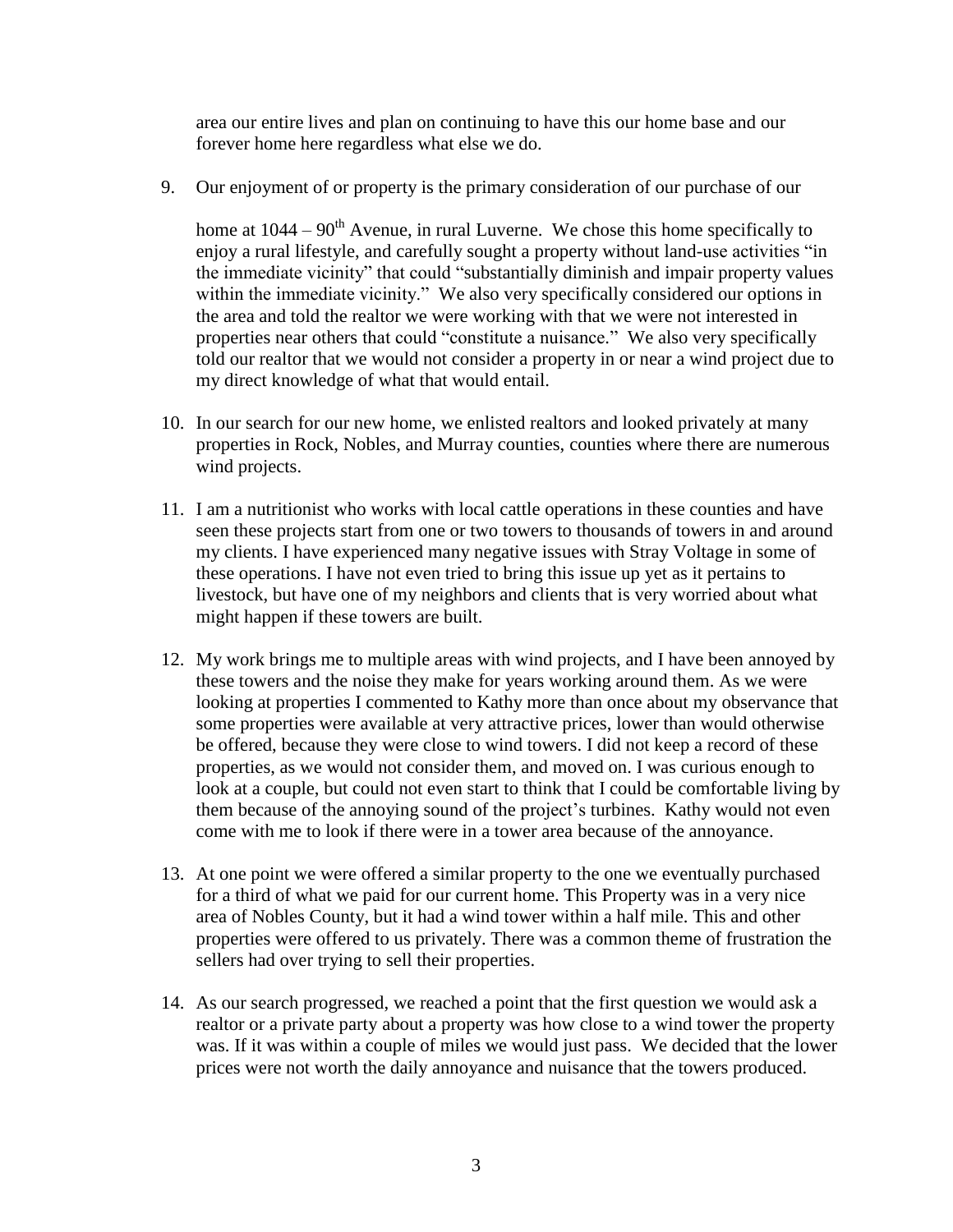area our entire lives and plan on continuing to have this our home base and our forever home here regardless what else we do.

9. Our enjoyment of or property is the primary consideration of our purchase of our

home at  $1044 - 90<sup>th</sup>$  Avenue, in rural Luverne. We chose this home specifically to enjoy a rural lifestyle, and carefully sought a property without land-use activities "in the immediate vicinity" that could "substantially diminish and impair property values within the immediate vicinity." We also very specifically considered our options in the area and told the realtor we were working with that we were not interested in properties near others that could "constitute a nuisance." We also very specifically told our realtor that we would not consider a property in or near a wind project due to my direct knowledge of what that would entail.

- 10. In our search for our new home, we enlisted realtors and looked privately at many properties in Rock, Nobles, and Murray counties, counties where there are numerous wind projects.
- 11. I am a nutritionist who works with local cattle operations in these counties and have seen these projects start from one or two towers to thousands of towers in and around my clients. I have experienced many negative issues with Stray Voltage in some of these operations. I have not even tried to bring this issue up yet as it pertains to livestock, but have one of my neighbors and clients that is very worried about what might happen if these towers are built.
- 12. My work brings me to multiple areas with wind projects, and I have been annoyed by these towers and the noise they make for years working around them. As we were looking at properties I commented to Kathy more than once about my observance that some properties were available at very attractive prices, lower than would otherwise be offered, because they were close to wind towers. I did not keep a record of these properties, as we would not consider them, and moved on. I was curious enough to look at a couple, but could not even start to think that I could be comfortable living by them because of the annoying sound of the project's turbines. Kathy would not even come with me to look if there were in a tower area because of the annoyance.
- 13. At one point we were offered a similar property to the one we eventually purchased for a third of what we paid for our current home. This Property was in a very nice area of Nobles County, but it had a wind tower within a half mile. This and other properties were offered to us privately. There was a common theme of frustration the sellers had over trying to sell their properties.
- 14. As our search progressed, we reached a point that the first question we would ask a realtor or a private party about a property was how close to a wind tower the property was. If it was within a couple of miles we would just pass. We decided that the lower prices were not worth the daily annoyance and nuisance that the towers produced.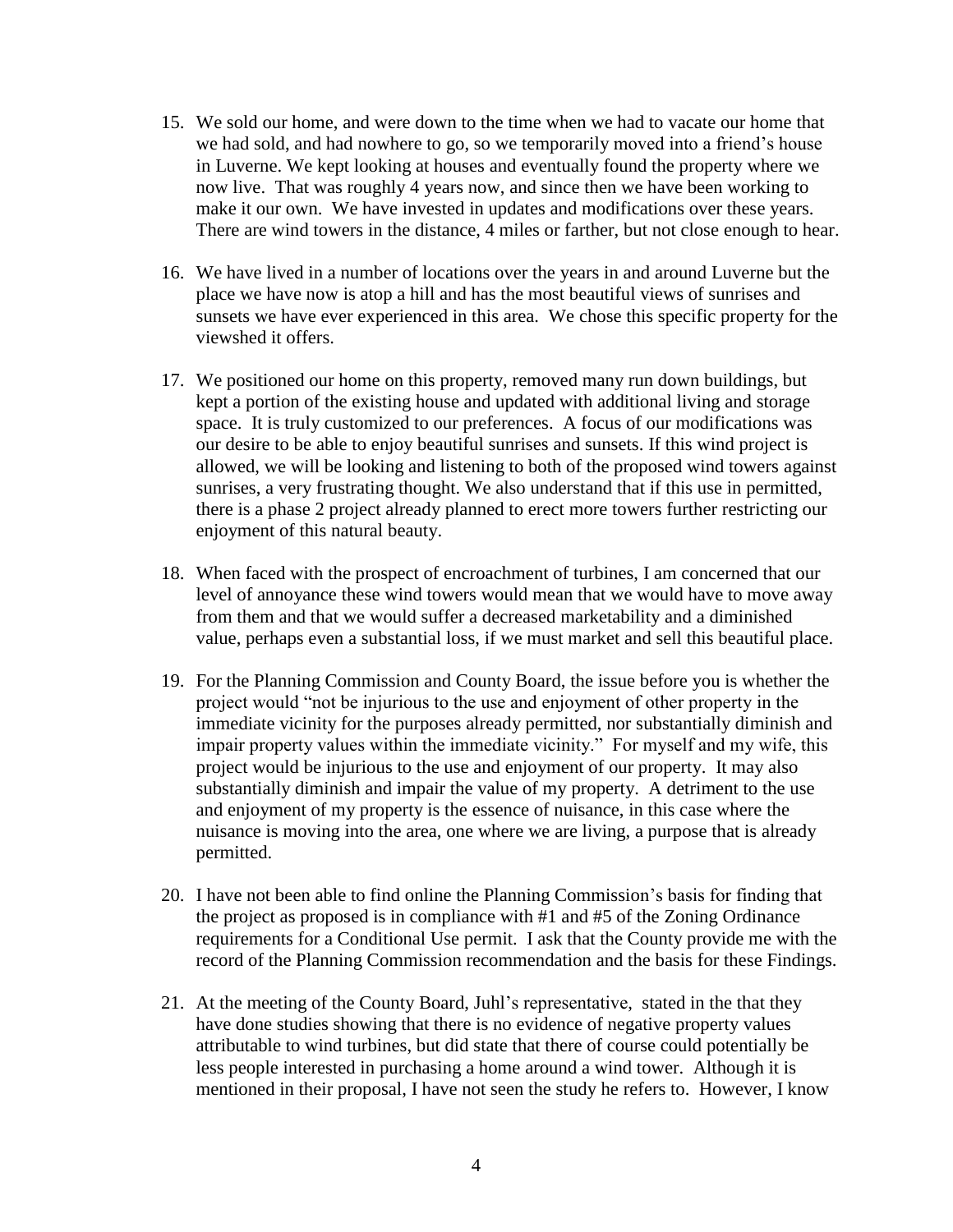- 15. We sold our home, and were down to the time when we had to vacate our home that we had sold, and had nowhere to go, so we temporarily moved into a friend's house in Luverne. We kept looking at houses and eventually found the property where we now live. That was roughly 4 years now, and since then we have been working to make it our own. We have invested in updates and modifications over these years. There are wind towers in the distance, 4 miles or farther, but not close enough to hear.
- 16. We have lived in a number of locations over the years in and around Luverne but the place we have now is atop a hill and has the most beautiful views of sunrises and sunsets we have ever experienced in this area. We chose this specific property for the viewshed it offers.
- 17. We positioned our home on this property, removed many run down buildings, but kept a portion of the existing house and updated with additional living and storage space. It is truly customized to our preferences. A focus of our modifications was our desire to be able to enjoy beautiful sunrises and sunsets. If this wind project is allowed, we will be looking and listening to both of the proposed wind towers against sunrises, a very frustrating thought. We also understand that if this use in permitted, there is a phase 2 project already planned to erect more towers further restricting our enjoyment of this natural beauty.
- 18. When faced with the prospect of encroachment of turbines, I am concerned that our level of annoyance these wind towers would mean that we would have to move away from them and that we would suffer a decreased marketability and a diminished value, perhaps even a substantial loss, if we must market and sell this beautiful place.
- 19. For the Planning Commission and County Board, the issue before you is whether the project would "not be injurious to the use and enjoyment of other property in the immediate vicinity for the purposes already permitted, nor substantially diminish and impair property values within the immediate vicinity." For myself and my wife, this project would be injurious to the use and enjoyment of our property. It may also substantially diminish and impair the value of my property. A detriment to the use and enjoyment of my property is the essence of nuisance, in this case where the nuisance is moving into the area, one where we are living, a purpose that is already permitted.
- 20. I have not been able to find online the Planning Commission's basis for finding that the project as proposed is in compliance with #1 and #5 of the Zoning Ordinance requirements for a Conditional Use permit. I ask that the County provide me with the record of the Planning Commission recommendation and the basis for these Findings.
- 21. At the meeting of the County Board, Juhl's representative, stated in the that they have done studies showing that there is no evidence of negative property values attributable to wind turbines, but did state that there of course could potentially be less people interested in purchasing a home around a wind tower. Although it is mentioned in their proposal, I have not seen the study he refers to. However, I know